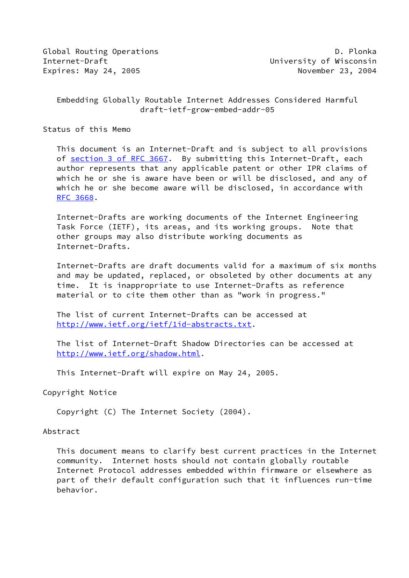Global Routing Operations **D. Plonka** Internet-Draft University of Wisconsin Expires: May 24, 2005 November 23, 2004

# Embedding Globally Routable Internet Addresses Considered Harmful draft-ietf-grow-embed-addr-05

Status of this Memo

 This document is an Internet-Draft and is subject to all provisions of section [3 of RFC 3667.](https://datatracker.ietf.org/doc/pdf/rfc3667#section-3) By submitting this Internet-Draft, each author represents that any applicable patent or other IPR claims of which he or she is aware have been or will be disclosed, and any of which he or she become aware will be disclosed, in accordance with [RFC 3668](https://datatracker.ietf.org/doc/pdf/rfc3668).

 Internet-Drafts are working documents of the Internet Engineering Task Force (IETF), its areas, and its working groups. Note that other groups may also distribute working documents as Internet-Drafts.

 Internet-Drafts are draft documents valid for a maximum of six months and may be updated, replaced, or obsoleted by other documents at any time. It is inappropriate to use Internet-Drafts as reference material or to cite them other than as "work in progress."

 The list of current Internet-Drafts can be accessed at <http://www.ietf.org/ietf/1id-abstracts.txt>.

 The list of Internet-Draft Shadow Directories can be accessed at <http://www.ietf.org/shadow.html>.

This Internet-Draft will expire on May 24, 2005.

Copyright Notice

Copyright (C) The Internet Society (2004).

#### Abstract

 This document means to clarify best current practices in the Internet community. Internet hosts should not contain globally routable Internet Protocol addresses embedded within firmware or elsewhere as part of their default configuration such that it influences run-time behavior.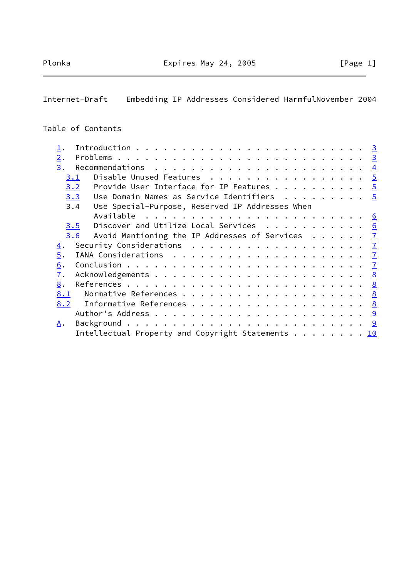Internet-Draft Embedding IP Addresses Considered HarmfulNovember 2004

## Table of Contents

|                                                                                      | <u>__ 3</u> |
|--------------------------------------------------------------------------------------|-------------|
| 2.                                                                                   |             |
| 3.<br>Recommendations $\cdots \cdots \cdots \cdots$                                  |             |
| Disable Unused Features $\frac{5}{2}$<br>3.1                                         |             |
| Provide User Interface for IP Features $\frac{5}{2}$<br>3.2                          |             |
| Use Domain Names as Service Identifiers $\ldots \ldots \ldots$<br>3.3                |             |
| Use Special-Purpose, Reserved IP Addresses When<br>3.4                               |             |
|                                                                                      |             |
| Discover and Utilize Local Services $\cdots$ 6<br>3.5                                |             |
| Avoid Mentioning the IP Addresses of Services $\frac{7}{2}$<br>3.6                   |             |
| $\overline{4}$ .                                                                     |             |
| 5.                                                                                   |             |
| 6.                                                                                   |             |
| 7.                                                                                   |             |
| 8.                                                                                   |             |
| 8.1                                                                                  |             |
| 8.2                                                                                  |             |
|                                                                                      |             |
| Α.                                                                                   |             |
| Intellectual Property and Copyright Statements $\ldots \ldots \ldots \underline{10}$ |             |
|                                                                                      |             |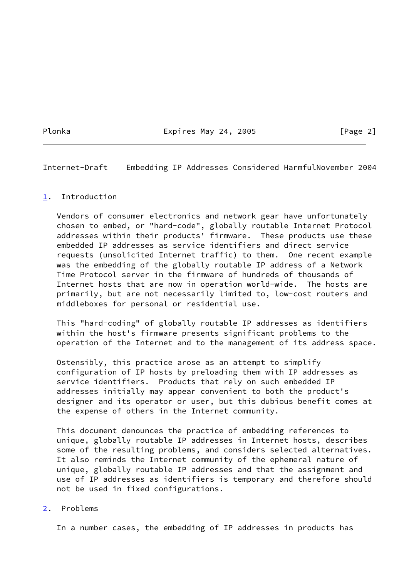Plonka **Expires May 24, 2005** [Page 2]

<span id="page-2-1"></span>Internet-Draft Embedding IP Addresses Considered HarmfulNovember 2004

## <span id="page-2-0"></span>[1](#page-2-0). Introduction

 Vendors of consumer electronics and network gear have unfortunately chosen to embed, or "hard-code", globally routable Internet Protocol addresses within their products' firmware. These products use these embedded IP addresses as service identifiers and direct service requests (unsolicited Internet traffic) to them. One recent example was the embedding of the globally routable IP address of a Network Time Protocol server in the firmware of hundreds of thousands of Internet hosts that are now in operation world-wide. The hosts are primarily, but are not necessarily limited to, low-cost routers and middleboxes for personal or residential use.

 This "hard-coding" of globally routable IP addresses as identifiers within the host's firmware presents significant problems to the operation of the Internet and to the management of its address space.

 Ostensibly, this practice arose as an attempt to simplify configuration of IP hosts by preloading them with IP addresses as service identifiers. Products that rely on such embedded IP addresses initially may appear convenient to both the product's designer and its operator or user, but this dubious benefit comes at the expense of others in the Internet community.

 This document denounces the practice of embedding references to unique, globally routable IP addresses in Internet hosts, describes some of the resulting problems, and considers selected alternatives. It also reminds the Internet community of the ephemeral nature of unique, globally routable IP addresses and that the assignment and use of IP addresses as identifiers is temporary and therefore should not be used in fixed configurations.

## <span id="page-2-2"></span>[2](#page-2-2). Problems

In a number cases, the embedding of IP addresses in products has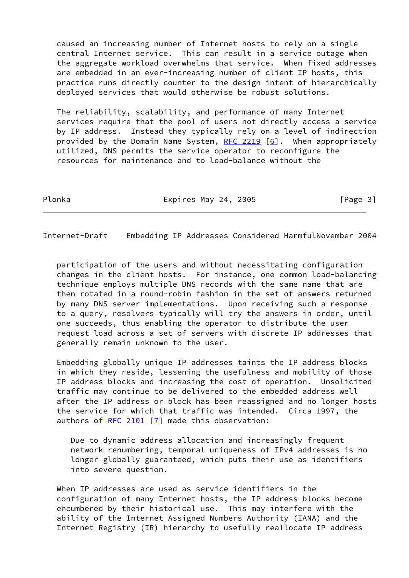caused an increasing number of Internet hosts to rely on a single central Internet service. This can result in a service outage when the aggregate workload overwhelms that service. When fixed addresses are embedded in an ever-increasing number of client IP hosts, this practice runs directly counter to the design intent of hierarchically deployed services that would otherwise be robust solutions.

 The reliability, scalability, and performance of many Internet services require that the pool of users not directly access a service by IP address. Instead they typically rely on a level of indirection provided by the Domain Name System,  $RFC$  2219 [\[6\]](#page-8-4). When appropriately utilized, DNS permits the service operator to reconfigure the resources for maintenance and to load-balance without the

Plonka **Expires May 24, 2005** [Page 3]

<span id="page-3-0"></span>Internet-Draft Embedding IP Addresses Considered HarmfulNovember 2004

 participation of the users and without necessitating configuration changes in the client hosts. For instance, one common load-balancing technique employs multiple DNS records with the same name that are then rotated in a round-robin fashion in the set of answers returned by many DNS server implementations. Upon receiving such a response to a query, resolvers typically will try the answers in order, until one succeeds, thus enabling the operator to distribute the user request load across a set of servers with discrete IP addresses that generally remain unknown to the user.

 Embedding globally unique IP addresses taints the IP address blocks in which they reside, lessening the usefulness and mobility of those IP address blocks and increasing the cost of operation. Unsolicited traffic may continue to be delivered to the embedded address well after the IP address or block has been reassigned and no longer hosts the service for which that traffic was intended. Circa 1997, the authors of [RFC 2101](https://datatracker.ietf.org/doc/pdf/rfc2101) [\[7](#page-8-5)] made this observation:

 Due to dynamic address allocation and increasingly frequent network renumbering, temporal uniqueness of IPv4 addresses is no longer globally guaranteed, which puts their use as identifiers into severe question.

 When IP addresses are used as service identifiers in the configuration of many Internet hosts, the IP address blocks become encumbered by their historical use. This may interfere with the ability of the Internet Assigned Numbers Authority (IANA) and the Internet Registry (IR) hierarchy to usefully reallocate IP address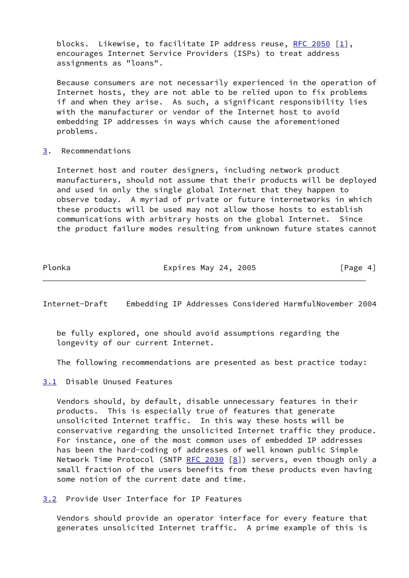blocks. Likewise, to facilitate IP address reuse, [RFC 2050](https://datatracker.ietf.org/doc/pdf/rfc2050) [\[1](#page-8-6)], encourages Internet Service Providers (ISPs) to treat address assignments as "loans".

 Because consumers are not necessarily experienced in the operation of Internet hosts, they are not able to be relied upon to fix problems if and when they arise. As such, a significant responsibility lies with the manufacturer or vendor of the Internet host to avoid embedding IP addresses in ways which cause the aforementioned problems.

### <span id="page-4-0"></span>[3](#page-4-0). Recommendations

 Internet host and router designers, including network product manufacturers, should not assume that their products will be deployed and used in only the single global Internet that they happen to observe today. A myriad of private or future internetworks in which these products will be used may not allow those hosts to establish communications with arbitrary hosts on the global Internet. Since the product failure modes resulting from unknown future states cannot

Plonka Expires May 24, 2005 [Page 4]

<span id="page-4-2"></span>Internet-Draft Embedding IP Addresses Considered HarmfulNovember 2004

 be fully explored, one should avoid assumptions regarding the longevity of our current Internet.

The following recommendations are presented as best practice today:

<span id="page-4-1"></span>[3.1](#page-4-1) Disable Unused Features

 Vendors should, by default, disable unnecessary features in their products. This is especially true of features that generate unsolicited Internet traffic. In this way these hosts will be conservative regarding the unsolicited Internet traffic they produce. For instance, one of the most common uses of embedded IP addresses has been the hard-coding of addresses of well known public Simple Network Time Protocol (SNTP  $RFC$  2030 [\[8\]](#page-8-7)) servers, even though only a small fraction of the users benefits from these products even having some notion of the current date and time.

<span id="page-4-3"></span>[3.2](#page-4-3) Provide User Interface for IP Features

 Vendors should provide an operator interface for every feature that generates unsolicited Internet traffic. A prime example of this is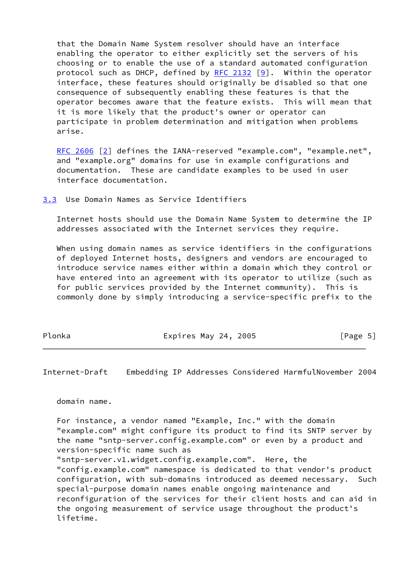that the Domain Name System resolver should have an interface enabling the operator to either explicitly set the servers of his choosing or to enable the use of a standard automated configuration protocol such as DHCP, defined by  $RFC$  2132 [[9\]](#page-9-2). Within the operator interface, these features should originally be disabled so that one consequence of subsequently enabling these features is that the operator becomes aware that the feature exists. This will mean that it is more likely that the product's owner or operator can participate in problem determination and mitigation when problems arise.

 [RFC 2606](https://datatracker.ietf.org/doc/pdf/rfc2606) [\[2\]](#page-8-8) defines the IANA-reserved "example.com", "example.net", and "example.org" domains for use in example configurations and documentation. These are candidate examples to be used in user interface documentation.

<span id="page-5-0"></span>[3.3](#page-5-0) Use Domain Names as Service Identifiers

 Internet hosts should use the Domain Name System to determine the IP addresses associated with the Internet services they require.

When using domain names as service identifiers in the configurations of deployed Internet hosts, designers and vendors are encouraged to introduce service names either within a domain which they control or have entered into an agreement with its operator to utilize (such as for public services provided by the Internet community). This is commonly done by simply introducing a service-specific prefix to the

Plonka Expires May 24, 2005 [Page 5]

<span id="page-5-1"></span>Internet-Draft Embedding IP Addresses Considered HarmfulNovember 2004

domain name.

 For instance, a vendor named "Example, Inc." with the domain "example.com" might configure its product to find its SNTP server by the name "sntp-server.config.example.com" or even by a product and version-specific name such as "sntp-server.v1.widget.config.example.com". Here, the "config.example.com" namespace is dedicated to that vendor's product configuration, with sub-domains introduced as deemed necessary. Such special-purpose domain names enable ongoing maintenance and reconfiguration of the services for their client hosts and can aid in the ongoing measurement of service usage throughout the product's lifetime.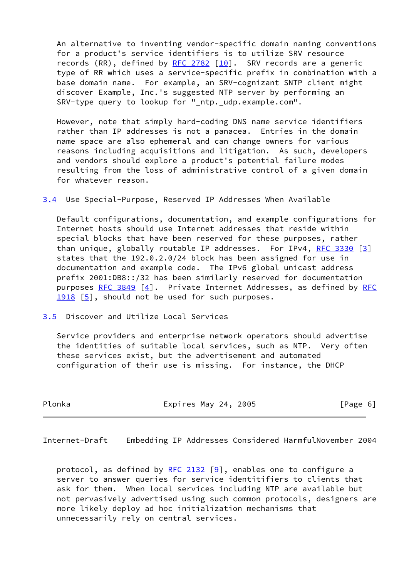An alternative to inventing vendor-specific domain naming conventions for a product's service identifiers is to utilize SRV resource records (RR), defined by [RFC 2782](https://datatracker.ietf.org/doc/pdf/rfc2782) [[10\]](#page-9-3). SRV records are a generic type of RR which uses a service-specific prefix in combination with a base domain name. For example, an SRV-cognizant SNTP client might discover Example, Inc.'s suggested NTP server by performing an SRV-type query to lookup for "\_ntp.\_udp.example.com".

 However, note that simply hard-coding DNS name service identifiers rather than IP addresses is not a panacea. Entries in the domain name space are also ephemeral and can change owners for various reasons including acquisitions and litigation. As such, developers and vendors should explore a product's potential failure modes resulting from the loss of administrative control of a given domain for whatever reason.

<span id="page-6-2"></span>[3.4](#page-6-2) Use Special-Purpose, Reserved IP Addresses When Available

 Default configurations, documentation, and example configurations for Internet hosts should use Internet addresses that reside within special blocks that have been reserved for these purposes, rather than unique, globally routable IP addresses. For IPv4, RFC  $3330$  [\[3\]](#page-8-9) states that the 192.0.2.0/24 block has been assigned for use in documentation and example code. The IPv6 global unicast address prefix 2001:DB8::/32 has been similarly reserved for documentation purposes  $RFC$  3849 [[4\]](#page-8-10). Private Internet Addresses, as defined by [RFC](https://datatracker.ietf.org/doc/pdf/rfc1918)  $1918$   $[5]$ , should not be used for such purposes.

<span id="page-6-0"></span>[3.5](#page-6-0) Discover and Utilize Local Services

 Service providers and enterprise network operators should advertise the identities of suitable local services, such as NTP. Very often these services exist, but the advertisement and automated configuration of their use is missing. For instance, the DHCP

Plonka **Expires May 24, 2005** [Page 6]

<span id="page-6-1"></span>Internet-Draft Embedding IP Addresses Considered HarmfulNovember 2004

protocol, as defined by [RFC 2132](https://datatracker.ietf.org/doc/pdf/rfc2132)  $[9]$ , enables one to configure a server to answer queries for service identitifiers to clients that ask for them. When local services including NTP are available but not pervasively advertised using such common protocols, designers are more likely deploy ad hoc initialization mechanisms that unnecessarily rely on central services.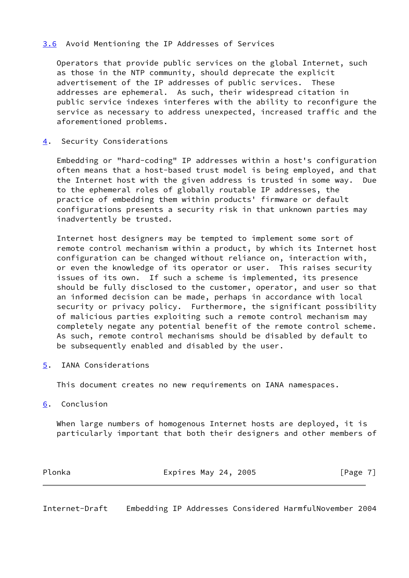# <span id="page-7-0"></span>[3.6](#page-7-0) Avoid Mentioning the IP Addresses of Services

 Operators that provide public services on the global Internet, such as those in the NTP community, should deprecate the explicit advertisement of the IP addresses of public services. These addresses are ephemeral. As such, their widespread citation in public service indexes interferes with the ability to reconfigure the service as necessary to address unexpected, increased traffic and the aforementioned problems.

## <span id="page-7-1"></span>[4](#page-7-1). Security Considerations

 Embedding or "hard-coding" IP addresses within a host's configuration often means that a host-based trust model is being employed, and that the Internet host with the given address is trusted in some way. Due to the ephemeral roles of globally routable IP addresses, the practice of embedding them within products' firmware or default configurations presents a security risk in that unknown parties may inadvertently be trusted.

 Internet host designers may be tempted to implement some sort of remote control mechanism within a product, by which its Internet host configuration can be changed without reliance on, interaction with, or even the knowledge of its operator or user. This raises security issues of its own. If such a scheme is implemented, its presence should be fully disclosed to the customer, operator, and user so that an informed decision can be made, perhaps in accordance with local security or privacy policy. Furthermore, the significant possibility of malicious parties exploiting such a remote control mechanism may completely negate any potential benefit of the remote control scheme. As such, remote control mechanisms should be disabled by default to be subsequently enabled and disabled by the user.

<span id="page-7-2"></span>[5](#page-7-2). IANA Considerations

This document creates no new requirements on IANA namespaces.

<span id="page-7-3"></span>[6](#page-7-3). Conclusion

 When large numbers of homogenous Internet hosts are deployed, it is particularly important that both their designers and other members of

| Plonka | Expires May 24, 2005 | [Page 7] |  |
|--------|----------------------|----------|--|
|        |                      |          |  |

<span id="page-7-4"></span>Internet-Draft Embedding IP Addresses Considered HarmfulNovember 2004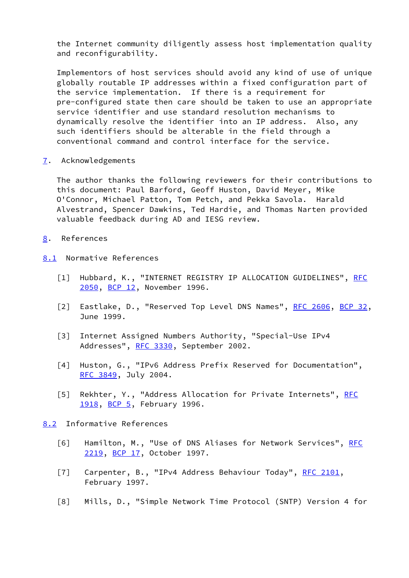the Internet community diligently assess host implementation quality and reconfigurability.

 Implementors of host services should avoid any kind of use of unique globally routable IP addresses within a fixed configuration part of the service implementation. If there is a requirement for pre-configured state then care should be taken to use an appropriate service identifier and use standard resolution mechanisms to dynamically resolve the identifier into an IP address. Also, any such identifiers should be alterable in the field through a conventional command and control interface for the service.

<span id="page-8-0"></span>[7](#page-8-0). Acknowledgements

 The author thanks the following reviewers for their contributions to this document: Paul Barford, Geoff Huston, David Meyer, Mike O'Connor, Michael Patton, Tom Petch, and Pekka Savola. Harald Alvestrand, Spencer Dawkins, Ted Hardie, and Thomas Narten provided valuable feedback during AD and IESG review.

- <span id="page-8-1"></span>[8](#page-8-1). References
- <span id="page-8-9"></span><span id="page-8-8"></span><span id="page-8-6"></span><span id="page-8-2"></span>[8.1](#page-8-2) Normative References
	- [1] Hubbard, K., "INTERNET REGISTRY IP ALLOCATION GUIDELINES", [RFC](https://datatracker.ietf.org/doc/pdf/rfc2050) [2050](https://datatracker.ietf.org/doc/pdf/rfc2050), [BCP 12](https://datatracker.ietf.org/doc/pdf/bcp12), November 1996.
	- [2] Eastlake, D., "Reserved Top Level DNS Names", [RFC 2606,](https://datatracker.ietf.org/doc/pdf/rfc2606) [BCP 32](https://datatracker.ietf.org/doc/pdf/bcp32), June 1999.
	- [3] Internet Assigned Numbers Authority, "Special-Use IPv4 Addresses", [RFC 3330](https://datatracker.ietf.org/doc/pdf/rfc3330), September 2002.
	- [4] Huston, G., "IPv6 Address Prefix Reserved for Documentation", [RFC 3849](https://datatracker.ietf.org/doc/pdf/rfc3849), July 2004.
	- [5] Rekhter, Y., "Address Allocation for Private Internets", [RFC](https://datatracker.ietf.org/doc/pdf/rfc1918) [1918](https://datatracker.ietf.org/doc/pdf/rfc1918), [BCP 5,](https://datatracker.ietf.org/doc/pdf/bcp5) February 1996.

<span id="page-8-11"></span><span id="page-8-10"></span><span id="page-8-3"></span>[8.2](#page-8-3) Informative References

- <span id="page-8-4"></span>[6] Hamilton, M., "Use of DNS Aliases for Network Services", [RFC](https://datatracker.ietf.org/doc/pdf/rfc2219) [2219](https://datatracker.ietf.org/doc/pdf/rfc2219), [BCP 17](https://datatracker.ietf.org/doc/pdf/bcp17), October 1997.
- <span id="page-8-5"></span>[7] Carpenter, B., "IPv4 Address Behaviour Today", [RFC 2101](https://datatracker.ietf.org/doc/pdf/rfc2101), February 1997.
- <span id="page-8-7"></span>[8] Mills, D., "Simple Network Time Protocol (SNTP) Version 4 for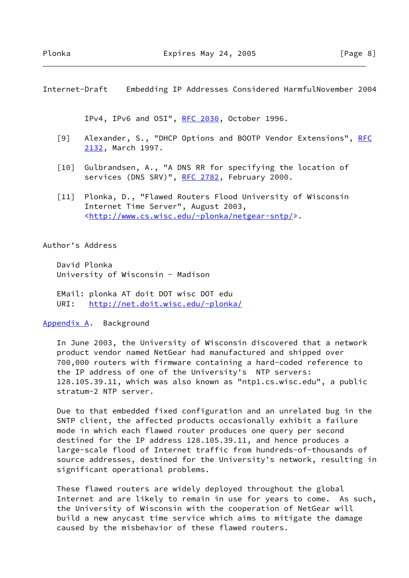<span id="page-9-0"></span>Internet-Draft Embedding IP Addresses Considered HarmfulNovember 2004

IPv4, IPv6 and OSI", [RFC 2030,](https://datatracker.ietf.org/doc/pdf/rfc2030) October 1996.

- <span id="page-9-2"></span>[9] Alexander, S., "DHCP Options and BOOTP Vendor Extensions", [RFC](https://datatracker.ietf.org/doc/pdf/rfc2132) [2132](https://datatracker.ietf.org/doc/pdf/rfc2132), March 1997.
- <span id="page-9-3"></span>[10] Gulbrandsen, A., "A DNS RR for specifying the location of services (DNS SRV)", [RFC 2782,](https://datatracker.ietf.org/doc/pdf/rfc2782) February 2000.
- <span id="page-9-4"></span> [11] Plonka, D., "Flawed Routers Flood University of Wisconsin Internet Time Server", August 2003, <[http://www.cs.wisc.edu/~plonka/netgear-sntp/>](http://www.cs.wisc.edu/~plonka/netgear-sntp/).

### Author's Address

 David Plonka University of Wisconsin - Madison

 EMail: plonka AT doit DOT wisc DOT edu URI: <http://net.doit.wisc.edu/~plonka/>

#### <span id="page-9-1"></span>[Appendix A.](#page-9-1) Background

 In June 2003, the University of Wisconsin discovered that a network product vendor named NetGear had manufactured and shipped over 700,000 routers with firmware containing a hard-coded reference to the IP address of one of the University's NTP servers: 128.105.39.11, which was also known as "ntp1.cs.wisc.edu", a public stratum-2 NTP server.

 Due to that embedded fixed configuration and an unrelated bug in the SNTP client, the affected products occasionally exhibit a failure mode in which each flawed router produces one query per second destined for the IP address 128.105.39.11, and hence produces a large-scale flood of Internet traffic from hundreds-of-thousands of source addresses, destined for the University's network, resulting in significant operational problems.

 These flawed routers are widely deployed throughout the global Internet and are likely to remain in use for years to come. As such, the University of Wisconsin with the cooperation of NetGear will build a new anycast time service which aims to mitigate the damage caused by the misbehavior of these flawed routers.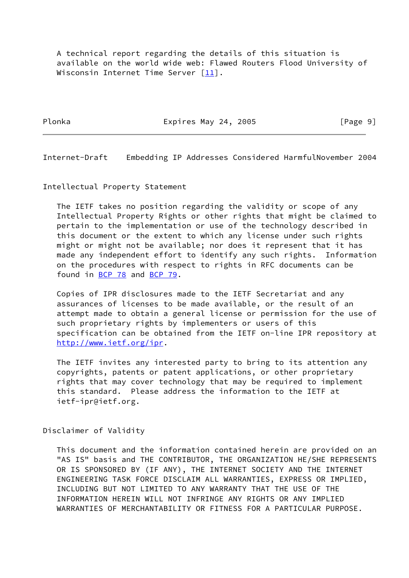A technical report regarding the details of this situation is available on the world wide web: Flawed Routers Flood University of Wisconsin Internet Time Server [\[11](#page-9-4)].

Plonka **Expires May 24, 2005** [Page 9]

<span id="page-10-0"></span>Internet-Draft Embedding IP Addresses Considered HarmfulNovember 2004

Intellectual Property Statement

 The IETF takes no position regarding the validity or scope of any Intellectual Property Rights or other rights that might be claimed to pertain to the implementation or use of the technology described in this document or the extent to which any license under such rights might or might not be available; nor does it represent that it has made any independent effort to identify any such rights. Information on the procedures with respect to rights in RFC documents can be found in [BCP 78](https://datatracker.ietf.org/doc/pdf/bcp78) and [BCP 79](https://datatracker.ietf.org/doc/pdf/bcp79).

 Copies of IPR disclosures made to the IETF Secretariat and any assurances of licenses to be made available, or the result of an attempt made to obtain a general license or permission for the use of such proprietary rights by implementers or users of this specification can be obtained from the IETF on-line IPR repository at <http://www.ietf.org/ipr>.

 The IETF invites any interested party to bring to its attention any copyrights, patents or patent applications, or other proprietary rights that may cover technology that may be required to implement this standard. Please address the information to the IETF at ietf-ipr@ietf.org.

Disclaimer of Validity

 This document and the information contained herein are provided on an "AS IS" basis and THE CONTRIBUTOR, THE ORGANIZATION HE/SHE REPRESENTS OR IS SPONSORED BY (IF ANY), THE INTERNET SOCIETY AND THE INTERNET ENGINEERING TASK FORCE DISCLAIM ALL WARRANTIES, EXPRESS OR IMPLIED, INCLUDING BUT NOT LIMITED TO ANY WARRANTY THAT THE USE OF THE INFORMATION HEREIN WILL NOT INFRINGE ANY RIGHTS OR ANY IMPLIED WARRANTIES OF MERCHANTABILITY OR FITNESS FOR A PARTICULAR PURPOSE.